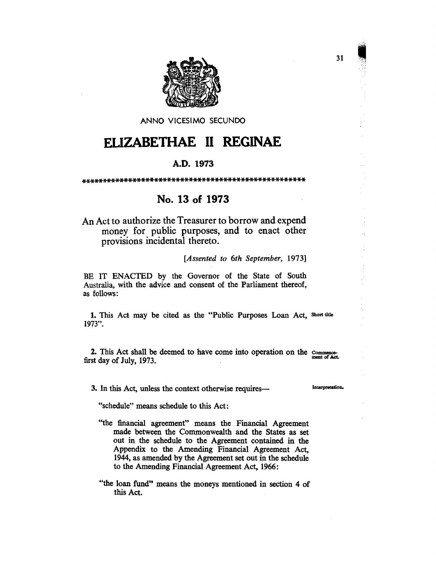

ANNO VICESIMO SECUNDO

# **FLIZABETHAE II REGINAE**

#### A.D. 1973

## No. 13 of 1973

An Act to authorize the Treasurer to borrow and expend money for public purposes, and to enact other provisions incidental thereto.

[Assented to 6th September, 1973]

BE IT ENACTED by the Governor of the State of South Australia, with the advice and consent of the Parliament thereof, as follows:

1. This Act may be cited as the "Public Purposes Loan Act, Short title 1973".

2. This Act shall be deemed to have come into operation on the commencefirst day of July, 1973.

3. In this Act, unless the context otherwise requires—

Interpretation.

"schedule" means schedule to this Act:

- "the financial agreement" means the Financial Agreement made between the Commonwealth and the States as set out in the schedule to the Agreement contained in the Appendix to the Amending Financial Agreement Act, 1944, as amended by the Agreement set out in the schedule to the Amending Financial Agreement Act, 1966:
- "the loan fund" means the moneys mentioned in section 4 of this Act.

31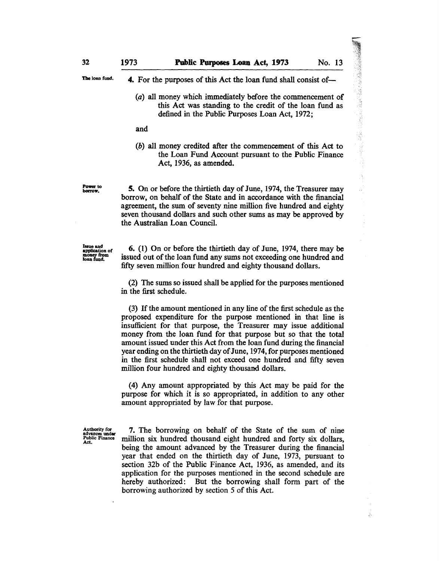32

Ŋ.

The loan fund.

Power to<br>borrow.

Iaueand application of<br>money from<br>loan fund. 4. For the purposes of this Act the loan fund shall consist of-

(a) all money which immediately before the commencement of this Act was standing to the credit of the loan fund as defined in the Public Purposes Loan Act, 1972;

and

(b) all money credited after the commencement of this Act to the Loan Fund Account pursuant to the Public Finance Act, 1936, as amended.

S. On or before the thirtieth day of June, 1974, the Treasurer may borrow, on behalf of the State and in accordance with the financial agreement, the sum of seventy nine million five hundred and eighty seven thousand dollars and such other sums as may be approved by the Australian Loan Council.

6. (1) On or before the thirtieth day of June, 1974, there may be issued out of the loan fund any sums not exceeding one hundred and fifty seven million four hundred and eighty thousand dollars.

(2) The sums so issued shall be applied for the purposes mentioned in the first schedule.

(3) If the amount mentioned in any line of the first schedule as the proposed expenditure for the purpose mentioned in that line is insufficient for that purpose, the Treasurer may issue additional money from the loan fund for that purpose but so that the total amount issued under this Act from the loan fund during the financial year ending on the thirtieth day of June, 1974, for purposes mentioned in the first schedule shall not exceed one hundred and fifty seven million four hundred and eighty thousand dollars.

(4) Any amount appropriated by this Act may be paid for the purpose for which it is so appropriated, in addition to any other amount appropriated by law for that purpose.

Authority for Authority for<br>advances under<br>Public Finance<br>Act.

7. The borrowing on behalf of the State of the sum of nine million six hundred thousand eight hundred and forty six dollars, being the amount advanced by the Treasurer during the financial year that ended on the thirtieth day of June, 1973, pursuant to section 32b of the Public Finance Act, 1936, as amended, and its application for the purposes mentioned in the second schedule are hereby authorized: But the borrowing shall form part of the borrowing authorized by section 5 of this Act.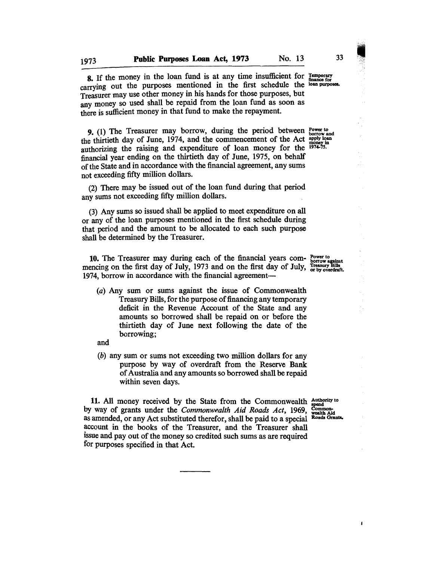8. If the money in the loan fund is at any time insufficient for  $_{\text{finance for}}^{T_{\text{temporary}}}$ carrying out the purposes mentioned in the first schedule the loan purposes. Treasurer may use other money in his hands for those purposes, but any money so used shall be repaid from the loan fund as soon as there is sufficient money in that fund to make the repayment.

9. (1) The Treasurer may borrow, during the period between  $_{\text{borrow and}}^{\text{Power to}}$ the thirtieth day of June, 1974, and the commencement of the Act apply loan authorizing the raising and expenditure of loan money for the  $1974-75$ . financial year ending on the thirtieth day of June, 1975, on behalf of the State and in accordance with the financial agreement, any sums not exceeding fifty million dollars.

(2) There may be issued out of the loan fund during that period any sums not exceeding fifty million dollars.

(3) Any sums so issued shall be applied to meet expenditure on all or any of the loan purposes mentioned in the first schedule during that period and the amount to be allocated to each such purpose shall be determined by the Treasurer.

10. The Treasurer may during each of the financial years com-  $_{\text{borow against}}^{\text{Power to}}$ mencing on the first day of July, 1973 and on the first day of July, Treasury Bills 1974, borrow in accordance with the financial agreement-

(a) Any sum or sums against the issue of Commonwealth Treasury Bills, for the purpose of financing any temporary deficit in the Revenue Account of the State and any amounts so borrowed shall be repaid on or before the thirtieth day of June next following the date of the borrowing;

and

(b) any sum or sums not exceeding two million dollars for any purpose by way of overdraft from the Reserve Bank of Australia and any amounts so borrowed shall be repaid within seven days.

11. All money received by the State from the Commonwealth  $A$ <sup>t atthority to</sup> vay of grants under the *Commonwealth*  $A$ *id Roads Act*, 1969,  $_{\text{weak}}^{\text{Common}}$ by way of grants under the *Commonwealth Aid Roads Act*, 1969, Common-<br>as amended or any Act substituted therefor shall be naid to a special Roads Grants. as amended, or any Act substituted therefor, shall be paid to a special account in the books of the Treasurer, and the Treasurer shall issue and payout of the money so credited such sums as are required for purposes specified in that Act.

 $\blacksquare$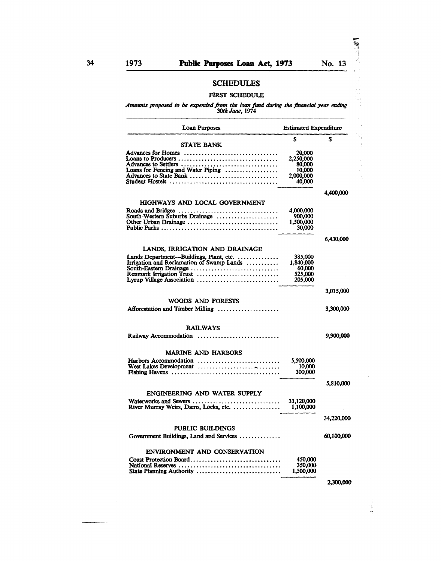$\bar{z}$ 

 $\bar{z}$ 

والمتعصص

Ñ,

ر<br>دون j.

 $\ddot{\phantom{0}}$ 

化聚焦剂

### SCHEDULES

#### FIRST SCHEDULE

*Amounts proposed to be expended /rom the loan fund during the financial year ending 30th* June, *<sup>1974</sup>*

| Loan Purposes                              | <b>Estimated Expenditure</b> |                   |
|--------------------------------------------|------------------------------|-------------------|
|                                            | S                            | S                 |
| <b>STATE BANK</b>                          |                              |                   |
| Advances for Homes                         | 20,000                       |                   |
| Loans to Producers                         | 2,250,000                    |                   |
| Advances to Settlers                       | 80,000                       |                   |
| Loans for Fencing and Water Piping         | 10,000                       |                   |
| Advances to State Bank                     | 2,000,000                    |                   |
|                                            | 40,000                       |                   |
|                                            |                              | 4,400,000         |
| HIGHWAYS AND LOCAL GOVERNMENT              |                              |                   |
|                                            | 4,000,000                    |                   |
| South-Western Suburbs Drainage             | 900,000                      |                   |
| Other Urban Drainage                       | 1,500,000                    |                   |
|                                            | 30,000                       |                   |
|                                            |                              | 6,430,000         |
| LANDS, IRRIGATION AND DRAINAGE             |                              |                   |
| Lands Department—Buildings, Plant, etc.    | 385,000                      |                   |
| Irrigation and Reclamation of Swamp Lands  | 1,840,000                    |                   |
| South-Eastern Drainage                     | 60,000                       |                   |
| Renmark Irrigation Trust                   | 525,000                      |                   |
| Lyrup Village Association                  | 205,000                      |                   |
|                                            |                              | 3,015,000         |
|                                            |                              |                   |
| WOODS AND FORESTS                          |                              |                   |
| Afforestation and Timber Milling           |                              | 3,300,000         |
| <b>RAILWAYS</b>                            |                              |                   |
| Railway Accommodation                      |                              | 9,900,000         |
|                                            |                              |                   |
| <b>MARINE AND HARBORS</b>                  |                              |                   |
| Harbors Accommodation                      | 5,500,000                    |                   |
|                                            | 10,000                       |                   |
|                                            | 300,000                      |                   |
|                                            |                              | 5,810,000         |
| ENGINEERING AND WATER SUPPLY               |                              |                   |
| Waterworks and Sewers                      | 33,120,000                   |                   |
| .<br>River Murray Weirs, Dams, Locks, etc. | 1,100,000                    |                   |
|                                            |                              | <b>34.220,000</b> |
| <b>PUBLIC BUILDINGS</b>                    |                              |                   |
| Government Buildings, Land and Services    |                              | 60,100,000        |
|                                            |                              |                   |
| ENVIRONMENT AND CONSERVATION               |                              |                   |
| Coast Protection Board                     | 450,000                      |                   |
| State Planning Authority                   | 350,000<br>1,500,000         |                   |
|                                            |                              |                   |
|                                            |                              | 2,300,000         |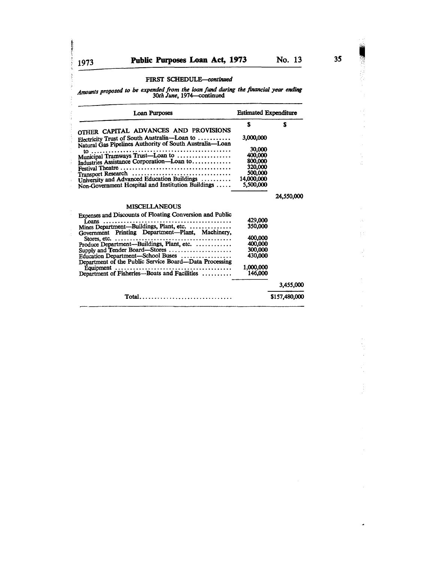**Control of** 

*Amounts proposed to be expended from the loan fund during the financial year ending*<br>30th June, 1974—continued

| <b>Loan Purposes</b>                                                                                                                                                                                                                                                                                                                                                                                                                                                                     | <b>Estimated Expenditure</b>                                                                    |               |  |
|------------------------------------------------------------------------------------------------------------------------------------------------------------------------------------------------------------------------------------------------------------------------------------------------------------------------------------------------------------------------------------------------------------------------------------------------------------------------------------------|-------------------------------------------------------------------------------------------------|---------------|--|
| OTHER CAPITAL ADVANCES AND PROVISIONS<br>Electricity Trust of South Australia-Loan to<br>Natural Gas Pipelines Authority of South Australia-Loan<br>Industries Assistance Corporation-Loan to<br>Transport Research<br>University and Advanced Education Buildings<br>Non-Government Hospital and Institution Buildings                                                                                                                                                                  | S<br>3,000,000<br>30,000<br>400,000<br>800,000<br>320,000<br>500.000<br>14,000,000<br>5,500,000 | S             |  |
| <b>MISCELLANEOUS</b>                                                                                                                                                                                                                                                                                                                                                                                                                                                                     |                                                                                                 | 24,550,000    |  |
| Expenses and Discounts of Floating Conversion and Public<br>Mines Department—Buildings, Plant, etc.<br>Government Printing Department-Plant, Machinery,<br>Stores. etc. $\dots\dots\dots\dots\dots\dots\dots\dots\dots\dots\dots\dots\dots\dots\dots\dots$<br>Produce Department—Buildings, Plant, etc.<br>Supply and Tender Board—Stores<br>Education Department-School Buses<br>Department of the Public Service Board-Data Processing<br>Department of Fisheries-Boats and Facilities | 429,000<br>350,000<br>400,000<br>400,000<br>300,000<br>430.000<br>1,000,000<br>146,000          |               |  |
|                                                                                                                                                                                                                                                                                                                                                                                                                                                                                          |                                                                                                 | 3,455,000     |  |
| Total                                                                                                                                                                                                                                                                                                                                                                                                                                                                                    |                                                                                                 | \$157,480,000 |  |

t, Ĵ,

 $\bar{1}$  :

 $\tilde{\textbf{a}}$